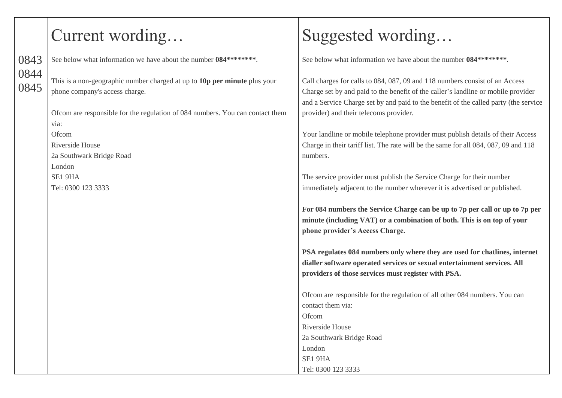|              | Current wording                                                                                                                                                                              | Suggested wording                                                                                                                                                                                                                                                                                  |
|--------------|----------------------------------------------------------------------------------------------------------------------------------------------------------------------------------------------|----------------------------------------------------------------------------------------------------------------------------------------------------------------------------------------------------------------------------------------------------------------------------------------------------|
| 0843         | See below what information we have about the number 084********                                                                                                                              | See below what information we have about the number 084********                                                                                                                                                                                                                                    |
| 0844<br>0845 | This is a non-geographic number charged at up to 10p per minute plus your<br>phone company's access charge.<br>Ofcom are responsible for the regulation of 084 numbers. You can contact them | Call charges for calls to 084, 087, 09 and 118 numbers consist of an Access<br>Charge set by and paid to the benefit of the caller's landline or mobile provider<br>and a Service Charge set by and paid to the benefit of the called party (the service<br>provider) and their telecoms provider. |
|              | via:                                                                                                                                                                                         |                                                                                                                                                                                                                                                                                                    |
|              | Ofcom                                                                                                                                                                                        | Your landline or mobile telephone provider must publish details of their Access                                                                                                                                                                                                                    |
|              | Riverside House<br>2a Southwark Bridge Road                                                                                                                                                  | Charge in their tariff list. The rate will be the same for all 084, 087, 09 and 118<br>numbers.                                                                                                                                                                                                    |
|              | London<br>SE1 9HA                                                                                                                                                                            | The service provider must publish the Service Charge for their number                                                                                                                                                                                                                              |
|              | Tel: 0300 123 3333                                                                                                                                                                           | immediately adjacent to the number wherever it is advertised or published.                                                                                                                                                                                                                         |
|              |                                                                                                                                                                                              | For 084 numbers the Service Charge can be up to 7p per call or up to 7p per<br>minute (including VAT) or a combination of both. This is on top of your<br>phone provider's Access Charge.                                                                                                          |
|              |                                                                                                                                                                                              | PSA regulates 084 numbers only where they are used for chatlines, internet                                                                                                                                                                                                                         |
|              |                                                                                                                                                                                              | dialler software operated services or sexual entertainment services. All                                                                                                                                                                                                                           |
|              |                                                                                                                                                                                              | providers of those services must register with PSA.                                                                                                                                                                                                                                                |
|              |                                                                                                                                                                                              | Ofcom are responsible for the regulation of all other 084 numbers. You can<br>contact them via:                                                                                                                                                                                                    |
|              |                                                                                                                                                                                              | Ofcom<br>Riverside House                                                                                                                                                                                                                                                                           |
|              |                                                                                                                                                                                              | 2a Southwark Bridge Road                                                                                                                                                                                                                                                                           |
|              |                                                                                                                                                                                              | London                                                                                                                                                                                                                                                                                             |
|              |                                                                                                                                                                                              | SE1 9HA                                                                                                                                                                                                                                                                                            |
|              |                                                                                                                                                                                              | Tel: 0300 123 3333                                                                                                                                                                                                                                                                                 |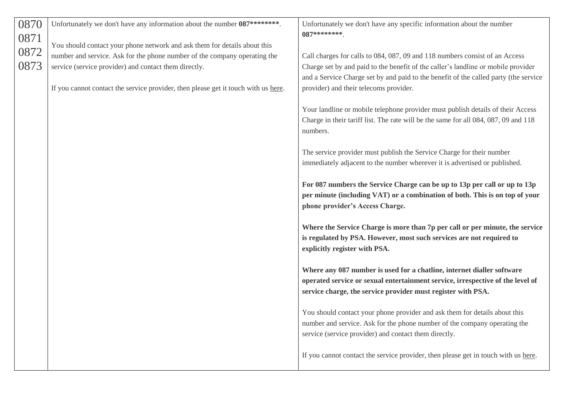| 0870                 | Unfortunately we don't have any information about the number 087********.                                                                                                                                                                                                                             | Unfortunately we don't have any specific information about the number                                                                                                                                                                                                                                                                                                                                                                                                                                                                                                                                                                                                                                                                                                                                                       |
|----------------------|-------------------------------------------------------------------------------------------------------------------------------------------------------------------------------------------------------------------------------------------------------------------------------------------------------|-----------------------------------------------------------------------------------------------------------------------------------------------------------------------------------------------------------------------------------------------------------------------------------------------------------------------------------------------------------------------------------------------------------------------------------------------------------------------------------------------------------------------------------------------------------------------------------------------------------------------------------------------------------------------------------------------------------------------------------------------------------------------------------------------------------------------------|
| 0871<br>0872<br>0873 | You should contact your phone network and ask them for details about this<br>number and service. Ask for the phone number of the company operating the<br>service (service provider) and contact them directly.<br>If you cannot contact the service provider, then please get it touch with us here. | $087*******$<br>Call charges for calls to 084, 087, 09 and 118 numbers consist of an Access<br>Charge set by and paid to the benefit of the caller's landline or mobile provider<br>and a Service Charge set by and paid to the benefit of the called party (the service<br>provider) and their telecoms provider.<br>Your landline or mobile telephone provider must publish details of their Access<br>Charge in their tariff list. The rate will be the same for all 084, 087, 09 and 118<br>numbers.<br>The service provider must publish the Service Charge for their number<br>immediately adjacent to the number wherever it is advertised or published.<br>For 087 numbers the Service Charge can be up to 13p per call or up to 13p<br>per minute (including VAT) or a combination of both. This is on top of your |
|                      |                                                                                                                                                                                                                                                                                                       | phone provider's Access Charge.<br>Where the Service Charge is more than 7p per call or per minute, the service<br>is regulated by PSA. However, most such services are not required to<br>explicitly register with PSA.<br>Where any 087 number is used for a chatline, internet dialler software<br>operated service or sexual entertainment service, irrespective of the level of<br>service charge, the service provider must register with PSA.<br>You should contact your phone provider and ask them for details about this<br>number and service. Ask for the phone number of the company operating the<br>service (service provider) and contact them directly.<br>If you cannot contact the service provider, then please get in touch with us here.                                                              |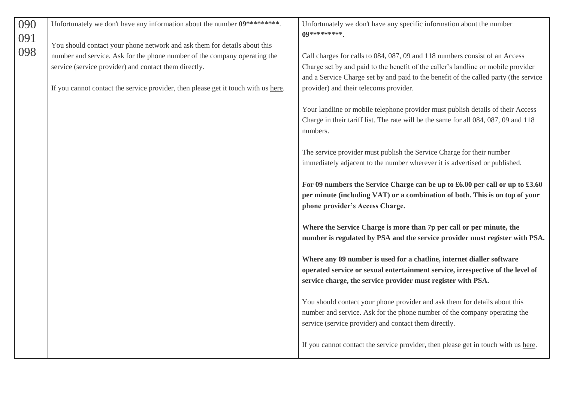| 090        | Unfortunately we don't have any information about the number 09*********                                                                               | Unfortunately we don't have any specific information about the number<br>09**********                                                                                                                                   |
|------------|--------------------------------------------------------------------------------------------------------------------------------------------------------|-------------------------------------------------------------------------------------------------------------------------------------------------------------------------------------------------------------------------|
| 091<br>098 | You should contact your phone network and ask them for details about this<br>number and service. Ask for the phone number of the company operating the | Call charges for calls to 084, 087, 09 and 118 numbers consist of an Access                                                                                                                                             |
|            | service (service provider) and contact them directly.                                                                                                  | Charge set by and paid to the benefit of the caller's landline or mobile provider<br>and a Service Charge set by and paid to the benefit of the called party (the service                                               |
|            | If you cannot contact the service provider, then please get it touch with us here.                                                                     | provider) and their telecoms provider.                                                                                                                                                                                  |
|            |                                                                                                                                                        | Your landline or mobile telephone provider must publish details of their Access<br>Charge in their tariff list. The rate will be the same for all 084, 087, 09 and 118<br>numbers.                                      |
|            |                                                                                                                                                        | The service provider must publish the Service Charge for their number<br>immediately adjacent to the number wherever it is advertised or published.                                                                     |
|            |                                                                                                                                                        | For 09 numbers the Service Charge can be up to £6.00 per call or up to £3.60<br>per minute (including VAT) or a combination of both. This is on top of your<br>phone provider's Access Charge.                          |
|            |                                                                                                                                                        | Where the Service Charge is more than 7p per call or per minute, the<br>number is regulated by PSA and the service provider must register with PSA.                                                                     |
|            |                                                                                                                                                        | Where any 09 number is used for a chatline, internet dialler software<br>operated service or sexual entertainment service, irrespective of the level of<br>service charge, the service provider must register with PSA. |
|            |                                                                                                                                                        | You should contact your phone provider and ask them for details about this                                                                                                                                              |
|            |                                                                                                                                                        | number and service. Ask for the phone number of the company operating the<br>service (service provider) and contact them directly.                                                                                      |
|            |                                                                                                                                                        | If you cannot contact the service provider, then please get in touch with us here.                                                                                                                                      |